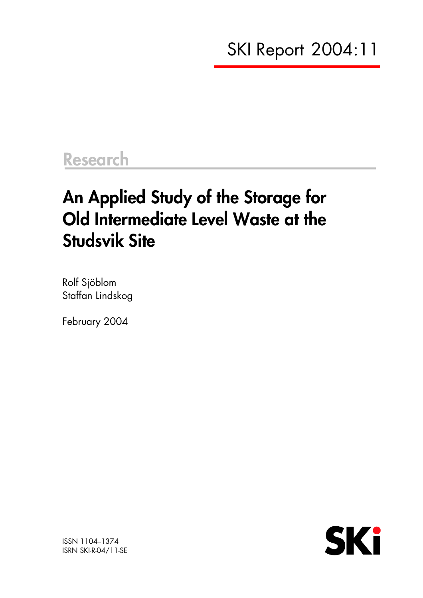# **Research**

# **An Applied Study of the Storage for Old Intermediate Level Waste at the Studsvik Site**

Rolf Sjöblom Staffan Lindskog

February 2004



ISSN 1104–1374 ISRN SKI-R-04/11-SE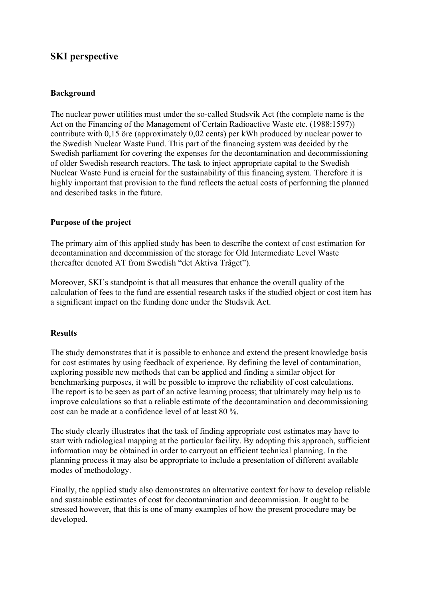### **SKI perspective**

#### **Background**

The nuclear power utilities must under the so-called Studsvik Act (the complete name is the Act on the Financing of the Management of Certain Radioactive Waste etc. (1988:1597)) contribute with 0,15 öre (approximately 0,02 cents) per kWh produced by nuclear power to the Swedish Nuclear Waste Fund. This part of the financing system was decided by the Swedish parliament for covering the expenses for the decontamination and decommissioning of older Swedish research reactors. The task to inject appropriate capital to the Swedish Nuclear Waste Fund is crucial for the sustainability of this financing system. Therefore it is highly important that provision to the fund reflects the actual costs of performing the planned and described tasks in the future.

#### **Purpose of the project**

The primary aim of this applied study has been to describe the context of cost estimation for decontamination and decommission of the storage for Old Intermediate Level Waste (hereafter denoted AT from Swedish "det Aktiva Tråget").

Moreover, SKI´s standpoint is that all measures that enhance the overall quality of the calculation of fees to the fund are essential research tasks if the studied object or cost item has a significant impact on the funding done under the Studsvik Act.

#### **Results**

The study demonstrates that it is possible to enhance and extend the present knowledge basis for cost estimates by using feedback of experience. By defining the level of contamination, exploring possible new methods that can be applied and finding a similar object for benchmarking purposes, it will be possible to improve the reliability of cost calculations. The report is to be seen as part of an active learning process; that ultimately may help us to improve calculations so that a reliable estimate of the decontamination and decommissioning cost can be made at a confidence level of at least 80 %.

The study clearly illustrates that the task of finding appropriate cost estimates may have to start with radiological mapping at the particular facility. By adopting this approach, sufficient information may be obtained in order to carryout an efficient technical planning. In the planning process it may also be appropriate to include a presentation of different available modes of methodology.

Finally, the applied study also demonstrates an alternative context for how to develop reliable and sustainable estimates of cost for decontamination and decommission. It ought to be stressed however, that this is one of many examples of how the present procedure may be developed.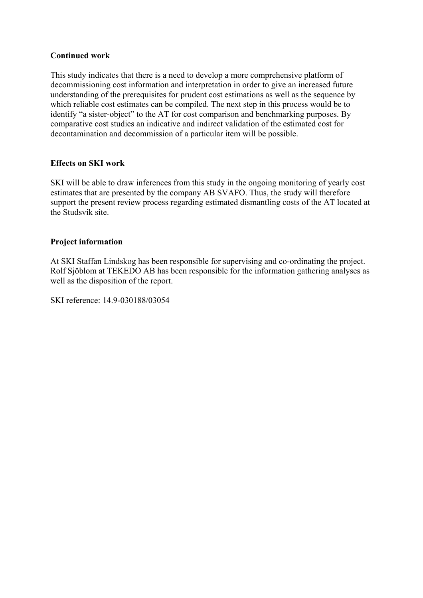#### **Continued work**

This study indicates that there is a need to develop a more comprehensive platform of decommissioning cost information and interpretation in order to give an increased future understanding of the prerequisites for prudent cost estimations as well as the sequence by which reliable cost estimates can be compiled. The next step in this process would be to identify "a sister-object" to the AT for cost comparison and benchmarking purposes. By comparative cost studies an indicative and indirect validation of the estimated cost for decontamination and decommission of a particular item will be possible.

#### **Effects on SKI work**

SKI will be able to draw inferences from this study in the ongoing monitoring of yearly cost estimates that are presented by the company AB SVAFO. Thus, the study will therefore support the present review process regarding estimated dismantling costs of the AT located at the Studsvik site.

#### **Project information**

At SKI Staffan Lindskog has been responsible for supervising and co-ordinating the project. Rolf Sjöblom at TEKEDO AB has been responsible for the information gathering analyses as well as the disposition of the report.

SKI reference: 14.9-030188/03054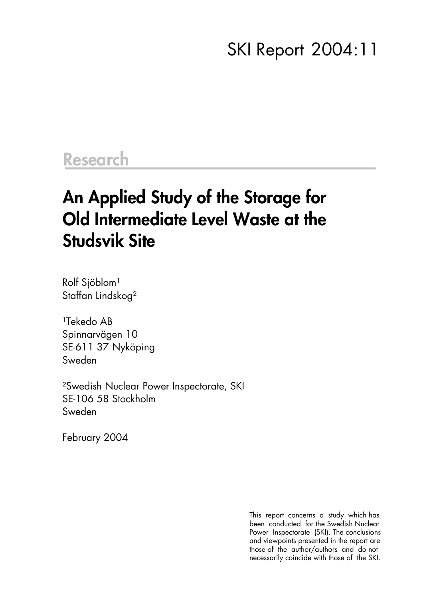### SKI Report 2004:11

### **Research**

### **An Applied Study of the Storage for Old Intermediate Level Waste at the Studsvik Site**

Rolf Sjöblom<sup>1</sup> Staffan Lindskog²

<sup>1</sup>Tekedo AB Spinnarvägen 10 SE-611 37 Nyköping Sweden

²Swedish Nuclear Power Inspectorate, SKI SE-106 58 Stockholm Sweden

February 2004

This report concerns a study which has been conducted for the Swedish Nuclear Power Inspectorate (SKI). The conclusions and viewpoints presented in the report are those of the author/authors and do not necessarily coincide with those of the SKI.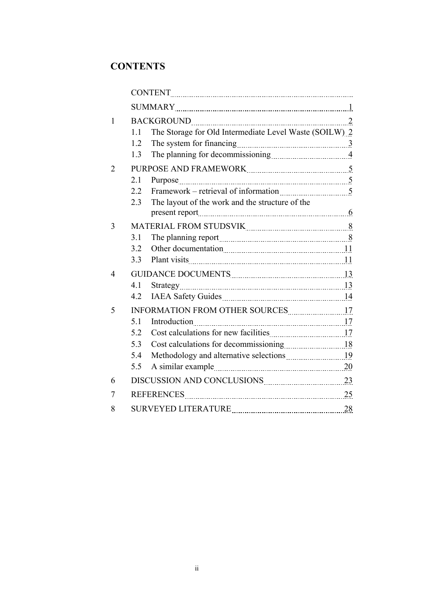### **CONTENTS**

| $\mathbf{1}$ |                                            |                                                        |    |  |
|--------------|--------------------------------------------|--------------------------------------------------------|----|--|
|              | 1.1                                        | The Storage for Old Intermediate Level Waste (SOILW) 2 |    |  |
|              | 1.2                                        |                                                        |    |  |
|              | 1.3                                        |                                                        |    |  |
| 2            |                                            |                                                        |    |  |
|              | 2.1                                        |                                                        |    |  |
|              | 2.2                                        |                                                        |    |  |
|              | 2.3                                        | The layout of the work and the structure of the        |    |  |
|              |                                            |                                                        |    |  |
| 3            | MATERIAL FROM STUDSVIK Entertainmuncered 8 |                                                        |    |  |
|              | 3.1                                        |                                                        |    |  |
|              | 3.2                                        |                                                        |    |  |
|              | 3.3                                        |                                                        |    |  |
| 4            |                                            |                                                        |    |  |
|              | 4.1                                        |                                                        |    |  |
|              | 4.2                                        |                                                        |    |  |
| 5            |                                            |                                                        |    |  |
|              | 5.1                                        |                                                        |    |  |
|              | 5.2                                        |                                                        |    |  |
|              | 5.3                                        |                                                        |    |  |
|              | 5.4                                        |                                                        |    |  |
|              | 5.5                                        |                                                        |    |  |
| 6            |                                            | DISCUSSION AND CONCLUSIONS 23                          |    |  |
| 7            |                                            | REFERENCES 25                                          |    |  |
| 8            |                                            | <b>SURVEYED LITERATURE</b>                             | 28 |  |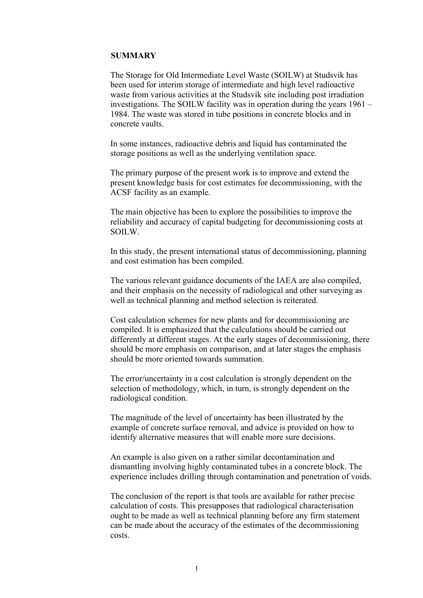#### **SUMMARY**

The Storage for Old Intermediate Level Waste (SOILW) at Studsvik has been used for interim storage of intermediate and high level radioactive waste from various activities at the Studsvik site including post irradiation investigations. The SOILW facility was in operation during the years 1961 – 1984. The waste was stored in tube positions in concrete blocks and in concrete vaults.

In some instances, radioactive debris and liquid has contaminated the storage positions as well as the underlying ventilation space.

The primary purpose of the present work is to improve and extend the present knowledge basis for cost estimates for decommissioning, with the ACSF facility as an example.

The main objective has been to explore the possibilities to improve the reliability and accuracy of capital budgeting for decommissioning costs at SOILW.

In this study, the present international status of decommissioning, planning and cost estimation has been compiled.

The various relevant guidance documents of the IAEA are also compiled, and their emphasis on the necessity of radiological and other surveying as well as technical planning and method selection is reiterated.

Cost calculation schemes for new plants and for decommissioning are compiled. It is emphasized that the calculations should be carried out differently at different stages. At the early stages of decommissioning, there should be more emphasis on comparison, and at later stages the emphasis should be more oriented towards summation.

The error/uncertainty in a cost calculation is strongly dependent on the selection of methodology, which, in turn, is strongly dependent on the radiological condition.

The magnitude of the level of uncertainty has been illustrated by the example of concrete surface removal, and advice is provided on how to identify alternative measures that will enable more sure decisions.

An example is also given on a rather similar decontamination and dismantling involving highly contaminated tubes in a concrete block. The experience includes drilling through contamination and penetration of voids.

The conclusion of the report is that tools are available for rather precise calculation of costs. This presupposes that radiological characterisation ought to be made as well as technical planning before any firm statement can be made about the accuracy of the estimates of the decommissioning costs.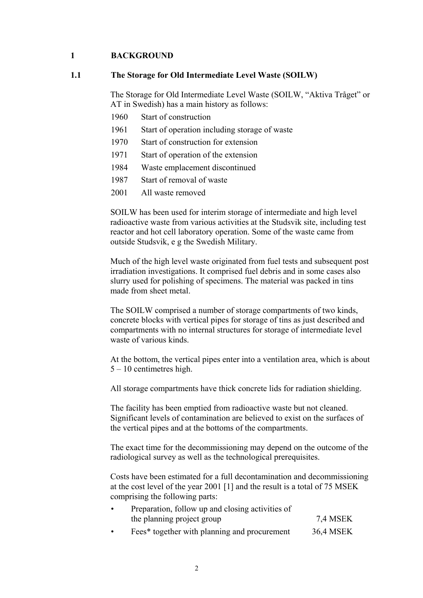#### **1 BACKGROUND**

#### **1.1 The Storage for Old Intermediate Level Waste (SOILW)**

The Storage for Old Intermediate Level Waste (SOILW, "Aktiva Tråget" or AT in Swedish) has a main history as follows:

- 1960 Start of construction
- 1961 Start of operation including storage of waste
- 1970 Start of construction for extension
- 1971 Start of operation of the extension
- 1984 Waste emplacement discontinued
- 1987 Start of removal of waste
- 2001 All waste removed

SOILW has been used for interim storage of intermediate and high level radioactive waste from various activities at the Studsvik site, including test reactor and hot cell laboratory operation. Some of the waste came from outside Studsvik, e g the Swedish Military.

Much of the high level waste originated from fuel tests and subsequent post irradiation investigations. It comprised fuel debris and in some cases also slurry used for polishing of specimens. The material was packed in tins made from sheet metal.

The SOILW comprised a number of storage compartments of two kinds, concrete blocks with vertical pipes for storage of tins as just described and compartments with no internal structures for storage of intermediate level waste of various kinds.

At the bottom, the vertical pipes enter into a ventilation area, which is about 5 – 10 centimetres high.

All storage compartments have thick concrete lids for radiation shielding.

The facility has been emptied from radioactive waste but not cleaned. Significant levels of contamination are believed to exist on the surfaces of the vertical pipes and at the bottoms of the compartments.

The exact time for the decommissioning may depend on the outcome of the radiological survey as well as the technological prerequisites.

Costs have been estimated for a full decontamination and decommissioning at the cost level of the year 2001 [1] and the result is a total of 75 MSEK comprising the following parts:

| Preparation, follow up and closing activities of |          |  |  |  |
|--------------------------------------------------|----------|--|--|--|
| the planning project group                       | 7,4 MSEK |  |  |  |
|                                                  |          |  |  |  |

Fees\* together with planning and procurement 36,4 MSEK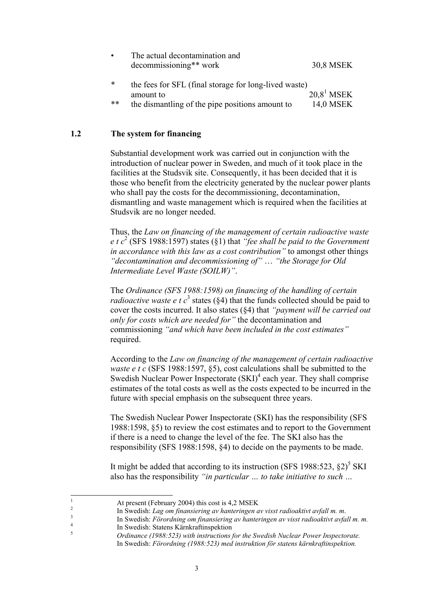| The actual decontamination and |           |
|--------------------------------|-----------|
| decommissioning** work         | 30,8 MSEK |

\* the fees for SFL (final storage for long-lived waste) amount to  $20.8<sup>1</sup>$  MSEK \*\* the dismantling of the pipe positions amount to 14,0 MSEK

#### **1.2 The system for financing**

Substantial development work was carried out in conjunction with the introduction of nuclear power in Sweden, and much of it took place in the facilities at the Studsvik site. Consequently, it has been decided that it is those who benefit from the electricity generated by the nuclear power plants who shall pay the costs for the decommissioning, decontamination, dismantling and waste management which is required when the facilities at Studsvik are no longer needed.

Thus, the *Law on financing of the management of certain radioactive waste e t c*<sup>2</sup> (SFS 1988:1597) states (§1) that *"fee shall be paid to the Government in accordance with this law as a cost contribution"* to amongst other things *"decontamination and decommissioning of"* … *"the Storage for Old Intermediate Level Waste (SOILW)"*.

The *Ordinance (SFS 1988:1598) on financing of the handling of certain radioactive waste e t*  $c^3$  states (§4) that the funds collected should be paid to cover the costs incurred. It also states (§4) that *"payment will be carried out only for costs which are needed for"* the decontamination and commissioning *"and which have been included in the cost estimates"* required.

According to the *Law on financing of the management of certain radioactive waste e t c* (SFS 1988:1597, §5), cost calculations shall be submitted to the Swedish Nuclear Power Inspectorate (SKI)<sup>4</sup> each year. They shall comprise estimates of the total costs as well as the costs expected to be incurred in the future with special emphasis on the subsequent three years.

The Swedish Nuclear Power Inspectorate (SKI) has the responsibility (SFS 1988:1598, §5) to review the cost estimates and to report to the Government if there is a need to change the level of the fee. The SKI also has the responsibility (SFS 1988:1598, §4) to decide on the payments to be made.

It might be added that according to its instruction (SFS 1988:523,  $\S 2$ )<sup>5</sup> SKI also has the responsibility *"in particular … to take initiative to such …*

1

2

At present (February 2004) this cost is 4,2 MSEK

In Swedish: *Lag om finansiering av hanteringen av visst radioaktivt avfall m. m*. <sup>3</sup>

In Swedish: *Förordning om finansiering av hanteringen av visst radioaktivt avfall m. m.* <sup>4</sup>  $\frac{4}{5}$  In Swedish: Statens Kärnkraftinspektion

<sup>5</sup> *Ordinance (1988:523) with instructions for the Swedish Nuclear Power Inspectorate.* In Swedish: *Förordning (1988:523) med instruktion för statens kärnkraftinspektion.*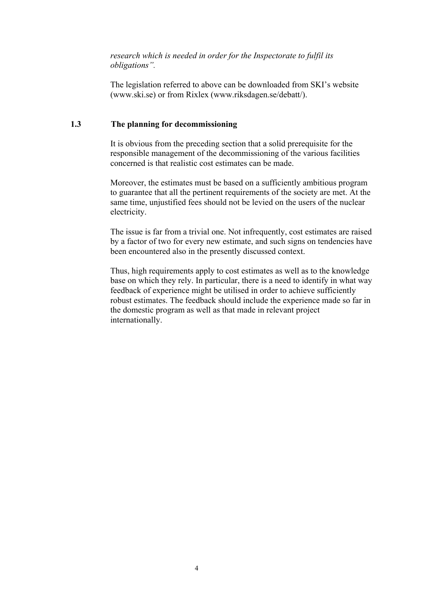*research which is needed in order for the Inspectorate to fulfil its obligations".*

The legislation referred to above can be downloaded from SKI's website (www.ski.se) or from Rixlex (www.riksdagen.se/debatt/).

#### **1.3 The planning for decommissioning**

It is obvious from the preceding section that a solid prerequisite for the responsible management of the decommissioning of the various facilities concerned is that realistic cost estimates can be made.

Moreover, the estimates must be based on a sufficiently ambitious program to guarantee that all the pertinent requirements of the society are met. At the same time, unjustified fees should not be levied on the users of the nuclear electricity.

The issue is far from a trivial one. Not infrequently, cost estimates are raised by a factor of two for every new estimate, and such signs on tendencies have been encountered also in the presently discussed context.

Thus, high requirements apply to cost estimates as well as to the knowledge base on which they rely. In particular, there is a need to identify in what way feedback of experience might be utilised in order to achieve sufficiently robust estimates. The feedback should include the experience made so far in the domestic program as well as that made in relevant project internationally.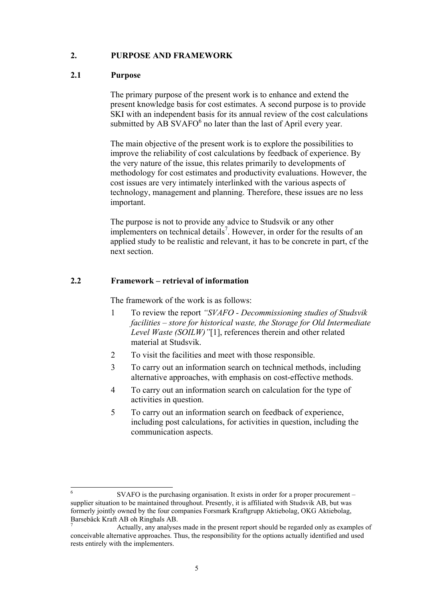#### **2. PURPOSE AND FRAMEWORK**

#### **2.1 Purpose**

The primary purpose of the present work is to enhance and extend the present knowledge basis for cost estimates. A second purpose is to provide SKI with an independent basis for its annual review of the cost calculations submitted by AB SVAFO $<sup>6</sup>$  no later than the last of April every year.</sup>

The main objective of the present work is to explore the possibilities to improve the reliability of cost calculations by feedback of experience. By the very nature of the issue, this relates primarily to developments of methodology for cost estimates and productivity evaluations. However, the cost issues are very intimately interlinked with the various aspects of technology, management and planning. Therefore, these issues are no less important.

The purpose is not to provide any advice to Studsvik or any other implementers on technical details<sup>7</sup>. However, in order for the results of an applied study to be realistic and relevant, it has to be concrete in part, cf the next section.

#### **2.2 Framework – retrieval of information**

The framework of the work is as follows:

- 1 To review the report *"SVAFO Decommissioning studies of Studsvik facilities – store for historical waste, the Storage for Old Intermediate Level Waste (SOILW)"*[1], references therein and other related material at Studsvik.
- 2 To visit the facilities and meet with those responsible.
- 3 To carry out an information search on technical methods, including alternative approaches, with emphasis on cost-effective methods.
- 4 To carry out an information search on calculation for the type of activities in question.
- 5 To carry out an information search on feedback of experience, including post calculations, for activities in question, including the communication aspects.

l 6 SVAFO is the purchasing organisation. It exists in order for a proper procurement – supplier situation to be maintained throughout. Presently, it is affiliated with Studsvik AB, but was formerly jointly owned by the four companies Forsmark Kraftgrupp Aktiebolag, OKG Aktiebolag, Barsebäck Kraft AB oh Ringhals AB.

<sup>7</sup> Actually, any analyses made in the present report should be regarded only as examples of conceivable alternative approaches. Thus, the responsibility for the options actually identified and used rests entirely with the implementers.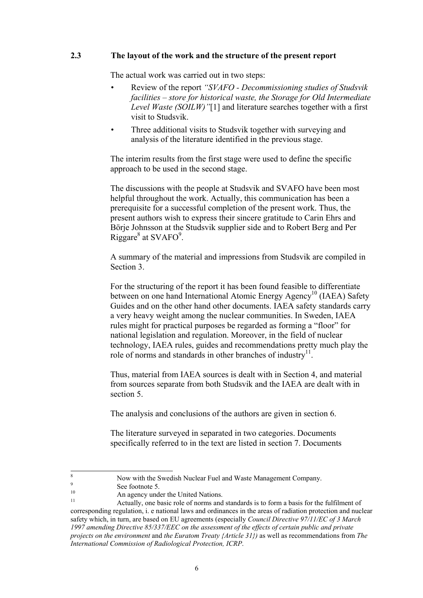#### **2.3 The layout of the work and the structure of the present report**

The actual work was carried out in two steps:

- Review of the report *"SVAFO Decommissioning studies of Studsvik facilities – store for historical waste, the Storage for Old Intermediate Level Waste (SOILW)"*[1] and literature searches together with a first visit to Studsvik.
- Three additional visits to Studsvik together with surveying and analysis of the literature identified in the previous stage.

The interim results from the first stage were used to define the specific approach to be used in the second stage.

The discussions with the people at Studsvik and SVAFO have been most helpful throughout the work. Actually, this communication has been a prerequisite for a successful completion of the present work. Thus, the present authors wish to express their sincere gratitude to Carin Ehrs and Börje Johnsson at the Studsvik supplier side and to Robert Berg and Per Riggare $^8$  at SVAFO $^9$ .

A summary of the material and impressions from Studsvik are compiled in Section 3.

For the structuring of the report it has been found feasible to differentiate between on one hand International Atomic Energy Agency<sup>10</sup> (IAEA) Safety Guides and on the other hand other documents. IAEA safety standards carry a very heavy weight among the nuclear communities. In Sweden, IAEA rules might for practical purposes be regarded as forming a "floor" for national legislation and regulation. Moreover, in the field of nuclear technology, IAEA rules, guides and recommendations pretty much play the role of norms and standards in other branches of industry $^{11}$ .

Thus, material from IAEA sources is dealt with in Section 4, and material from sources separate from both Studsvik and the IAEA are dealt with in section 5.

The analysis and conclusions of the authors are given in section 6.

The literature surveyed in separated in two categories. Documents specifically referred to in the text are listed in section 7. Documents

 8 Now with the Swedish Nuclear Fuel and Waste Management Company.

 $\frac{9}{10}$  See footnote 5.

<sup>&</sup>lt;sup>10</sup> An agency under the United Nations.

Actually, one basic role of norms and standards is to form a basis for the fulfilment of corresponding regulation, i. e national laws and ordinances in the areas of radiation protection and nuclear safety which, in turn, are based on EU agreements (especially *Council Directive 97/11/EC of 3 March 1997 amending Directive 85/337/EEC on the assessment of the effects of certain public and private projects on the environment* and *the Euratom Treaty {Article 31})* as well as recommendations from *The International Commission of Radiological Protection, ICRP*.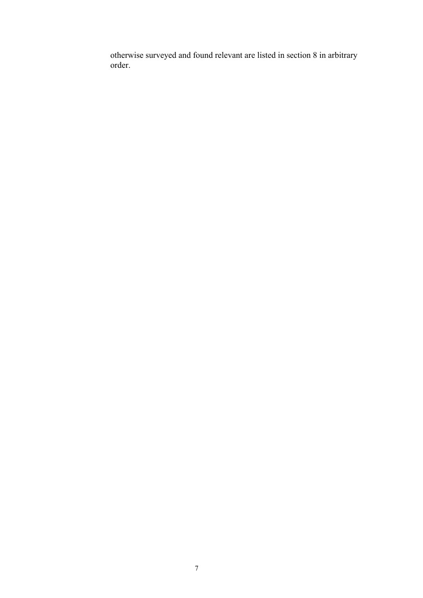otherwise surveyed and found relevant are listed in section 8 in arbitrary order.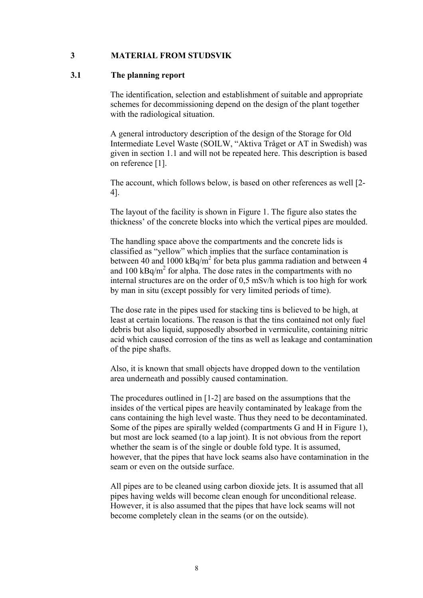#### **3 MATERIAL FROM STUDSVIK**

#### **3.1 The planning report**

The identification, selection and establishment of suitable and appropriate schemes for decommissioning depend on the design of the plant together with the radiological situation.

A general introductory description of the design of the Storage for Old Intermediate Level Waste (SOILW, "Aktiva Tråget or AT in Swedish) was given in section 1.1 and will not be repeated here. This description is based on reference [1].

The account, which follows below, is based on other references as well [2- 4].

The layout of the facility is shown in Figure 1. The figure also states the thickness' of the concrete blocks into which the vertical pipes are moulded.

The handling space above the compartments and the concrete lids is classified as "yellow" which implies that the surface contamination is between 40 and 1000  $kBq/m^2$  for beta plus gamma radiation and between 4 and 100 kBq/m<sup>2</sup> for alpha. The dose rates in the compartments with no internal structures are on the order of 0,5 mSv/h which is too high for work by man in situ (except possibly for very limited periods of time).

The dose rate in the pipes used for stacking tins is believed to be high, at least at certain locations. The reason is that the tins contained not only fuel debris but also liquid, supposedly absorbed in vermiculite, containing nitric acid which caused corrosion of the tins as well as leakage and contamination of the pipe shafts.

Also, it is known that small objects have dropped down to the ventilation area underneath and possibly caused contamination.

The procedures outlined in [1-2] are based on the assumptions that the insides of the vertical pipes are heavily contaminated by leakage from the cans containing the high level waste. Thus they need to be decontaminated. Some of the pipes are spirally welded (compartments G and H in Figure 1), but most are lock seamed (to a lap joint). It is not obvious from the report whether the seam is of the single or double fold type. It is assumed, however, that the pipes that have lock seams also have contamination in the seam or even on the outside surface.

All pipes are to be cleaned using carbon dioxide jets. It is assumed that all pipes having welds will become clean enough for unconditional release. However, it is also assumed that the pipes that have lock seams will not become completely clean in the seams (or on the outside).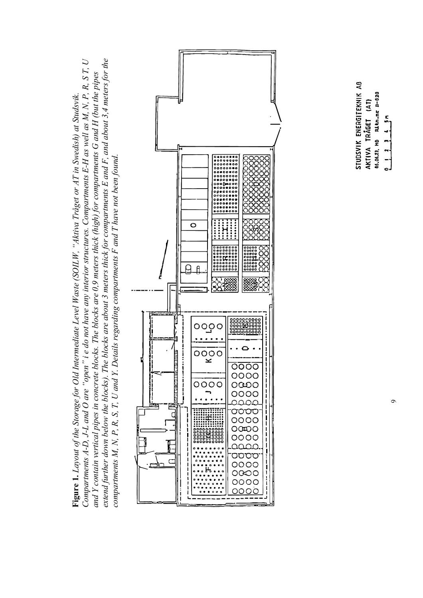extend further down below the blocks). The blocks are about 3 meters thick for compartments E and F, and about 3,4 meters for the Compartments A-D, J-L and O are "open" i e do not have any interior structures. Compartments E-H as well as M, N, P, R, S T, U *Compartments A-D, J-L and O are "open" i e do not have any interior structures. Compartments E-H as well as M, N, P, R, S T, U extend further down below the blocks). The blocks are about 3 meters thick for compartments E and F, and about 3,4 meters for the* and Y contain vertical pipes in concrete blocks. The blocks are 0,9 meters thick (high) for compartments G and H (but the pipes *and Y contain vertical pipes in concrete blocks. The blocks are 0,9 meters thick (high) for compartments G and H (but the pipes* Figure 1. Layout of the Storage for Old Intermediate Level Waste (SOILW, "Aktiva Tråget or AT in Swedish) at Studsvik. **Figure 1.** *Layout of the Storage for Old Intermediate Level Waste (SOILW, "Aktiva Tråget or AT in Swedish) at Studsvik. compartments M, N, P, R, S, T, U and Y. Details regarding compartments F and T have not been found.*compartments M, N, P, R, S, T, U and Y. Details regarding compartments F and T have not been found.



STUDSVIK ENERGITEKNIK AB 06.06.23. HO RILLIA.NE B-820 AKTIVA TRÃGET (AT)  $\frac{1}{2}$  1  $\frac{1}{2}$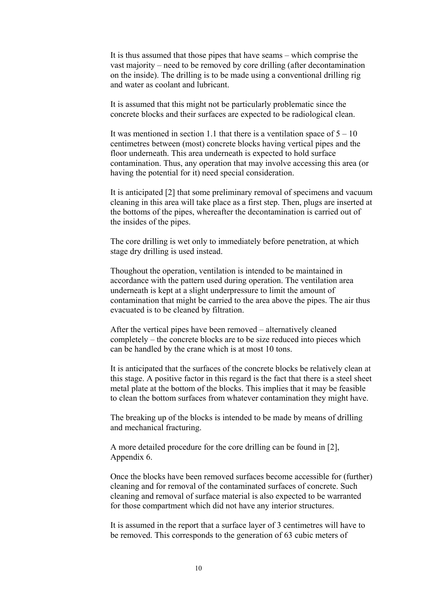It is thus assumed that those pipes that have seams – which comprise the vast majority – need to be removed by core drilling (after decontamination on the inside). The drilling is to be made using a conventional drilling rig and water as coolant and lubricant.

It is assumed that this might not be particularly problematic since the concrete blocks and their surfaces are expected to be radiological clean.

It was mentioned in section 1.1 that there is a ventilation space of  $5 - 10$ centimetres between (most) concrete blocks having vertical pipes and the floor underneath. This area underneath is expected to hold surface contamination. Thus, any operation that may involve accessing this area (or having the potential for it) need special consideration.

It is anticipated [2] that some preliminary removal of specimens and vacuum cleaning in this area will take place as a first step. Then, plugs are inserted at the bottoms of the pipes, whereafter the decontamination is carried out of the insides of the pipes.

The core drilling is wet only to immediately before penetration, at which stage dry drilling is used instead.

Thoughout the operation, ventilation is intended to be maintained in accordance with the pattern used during operation. The ventilation area underneath is kept at a slight underpressure to limit the amount of contamination that might be carried to the area above the pipes. The air thus evacuated is to be cleaned by filtration.

After the vertical pipes have been removed – alternatively cleaned completely – the concrete blocks are to be size reduced into pieces which can be handled by the crane which is at most 10 tons.

It is anticipated that the surfaces of the concrete blocks be relatively clean at this stage. A positive factor in this regard is the fact that there is a steel sheet metal plate at the bottom of the blocks. This implies that it may be feasible to clean the bottom surfaces from whatever contamination they might have.

The breaking up of the blocks is intended to be made by means of drilling and mechanical fracturing.

A more detailed procedure for the core drilling can be found in [2], Appendix 6.

Once the blocks have been removed surfaces become accessible for (further) cleaning and for removal of the contaminated surfaces of concrete. Such cleaning and removal of surface material is also expected to be warranted for those compartment which did not have any interior structures.

It is assumed in the report that a surface layer of 3 centimetres will have to be removed. This corresponds to the generation of 63 cubic meters of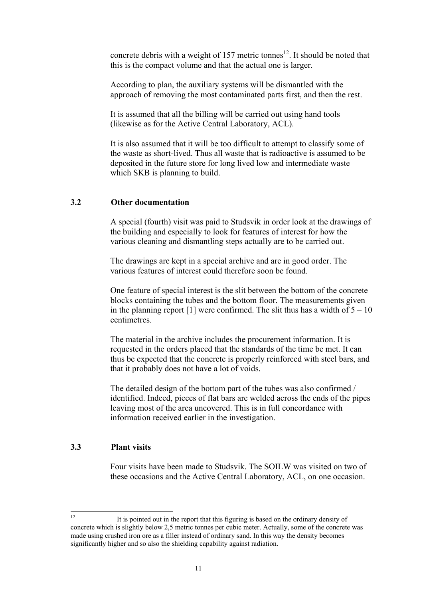concrete debris with a weight of 157 metric tonnes<sup>12</sup>. It should be noted that this is the compact volume and that the actual one is larger.

According to plan, the auxiliary systems will be dismantled with the approach of removing the most contaminated parts first, and then the rest.

It is assumed that all the billing will be carried out using hand tools (likewise as for the Active Central Laboratory, ACL).

It is also assumed that it will be too difficult to attempt to classify some of the waste as short-lived. Thus all waste that is radioactive is assumed to be deposited in the future store for long lived low and intermediate waste which SKB is planning to build.

#### **3.2 Other documentation**

A special (fourth) visit was paid to Studsvik in order look at the drawings of the building and especially to look for features of interest for how the various cleaning and dismantling steps actually are to be carried out.

The drawings are kept in a special archive and are in good order. The various features of interest could therefore soon be found.

One feature of special interest is the slit between the bottom of the concrete blocks containing the tubes and the bottom floor. The measurements given in the planning report  $[1]$  were confirmed. The slit thus has a width of  $5 - 10$ centimetres.

The material in the archive includes the procurement information. It is requested in the orders placed that the standards of the time be met. It can thus be expected that the concrete is properly reinforced with steel bars, and that it probably does not have a lot of voids.

The detailed design of the bottom part of the tubes was also confirmed / identified. Indeed, pieces of flat bars are welded across the ends of the pipes leaving most of the area uncovered. This is in full concordance with information received earlier in the investigation.

#### **3.3 Plant visits**

Four visits have been made to Studsvik. The SOILW was visited on two of these occasions and the Active Central Laboratory, ACL, on one occasion.

 $12$ 12 It is pointed out in the report that this figuring is based on the ordinary density of concrete which is slightly below 2,5 metric tonnes per cubic meter. Actually, some of the concrete was made using crushed iron ore as a filler instead of ordinary sand. In this way the density becomes significantly higher and so also the shielding capability against radiation.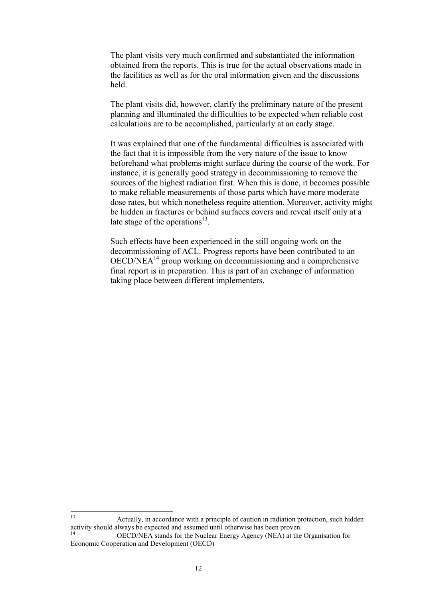The plant visits very much confirmed and substantiated the information obtained from the reports. This is true for the actual observations made in the facilities as well as for the oral information given and the discussions held.

The plant visits did, however, clarify the preliminary nature of the present planning and illuminated the difficulties to be expected when reliable cost calculations are to be accomplished, particularly at an early stage.

It was explained that one of the fundamental difficulties is associated with the fact that it is impossible from the very nature of the issue to know beforehand what problems might surface during the course of the work. For instance, it is generally good strategy in decommissioning to remove the sources of the highest radiation first. When this is done, it becomes possible to make reliable measurements of those parts which have more moderate dose rates, but which nonetheless require attention. Moreover, activity might be hidden in fractures or behind surfaces covers and reveal itself only at a late stage of the operations $^{13}$ .

Such effects have been experienced in the still ongoing work on the decommissioning of ACL. Progress reports have been contributed to an OECD/NEA14 group working on decommissioning and a comprehensive final report is in preparation. This is part of an exchange of information taking place between different implementers.

 $13$ Actually, in accordance with a principle of caution in radiation protection, such hidden activity should always be expected and assumed until otherwise has been proven.

<sup>14</sup> OECD/NEA stands for the Nuclear Energy Agency (NEA) at the Organisation for Economic Cooperation and Development (OECD)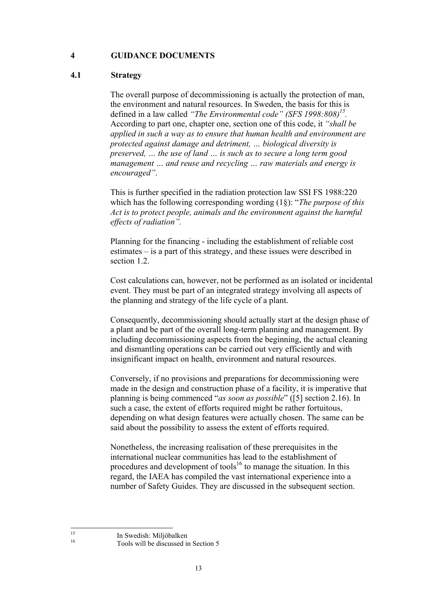#### **4 GUIDANCE DOCUMENTS**

#### **4.1 Strategy**

The overall purpose of decommissioning is actually the protection of man, the environment and natural resources. In Sweden, the basis for this is defined in a law called *"The Environmental code" (SFS 1998:808)15.* According to part one, chapter one, section one of this code, it *"shall be applied in such a way as to ensure that human health and environment are protected against damage and detriment, … biological diversity is preserved, … the use of land … is such as to secure a long term good management … and reuse and recycling … raw materials and energy is encouraged"*.

This is further specified in the radiation protection law SSI FS 1988:220 which has the following corresponding wording (1§): "*The purpose of this Act is to protect people, animals and the environment against the harmful effects of radiation".*

Planning for the financing - including the establishment of reliable cost estimates – is a part of this strategy, and these issues were described in section 1.2.

Cost calculations can, however, not be performed as an isolated or incidental event. They must be part of an integrated strategy involving all aspects of the planning and strategy of the life cycle of a plant.

Consequently, decommissioning should actually start at the design phase of a plant and be part of the overall long-term planning and management. By including decommissioning aspects from the beginning, the actual cleaning and dismantling operations can be carried out very efficiently and with insignificant impact on health, environment and natural resources.

Conversely, if no provisions and preparations for decommissioning were made in the design and construction phase of a facility, it is imperative that planning is being commenced "*as soon as possible*" ([5] section 2.16). In such a case, the extent of efforts required might be rather fortuitous, depending on what design features were actually chosen. The same can be said about the possibility to assess the extent of efforts required.

Nonetheless, the increasing realisation of these prerequisites in the international nuclear communities has lead to the establishment of procedures and development of tools<sup>16</sup> to manage the situation. In this regard, the IAEA has compiled the vast international experience into a number of Safety Guides. They are discussed in the subsequent section.

 $15$ 

<sup>&</sup>lt;sup>15</sup> In Swedish: Miljöbalken

<sup>16</sup> Tools will be discussed in Section 5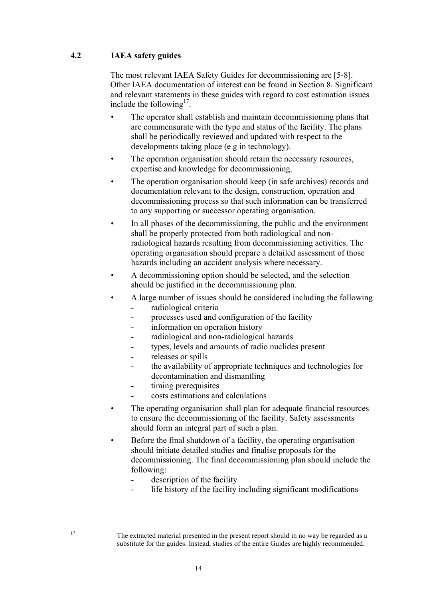#### **4.2 IAEA safety guides**

The most relevant IAEA Safety Guides for decommissioning are [5-8]. Other IAEA documentation of interest can be found in Section 8. Significant and relevant statements in these guides with regard to cost estimation issues include the following<sup>17</sup>.

- The operator shall establish and maintain decommissioning plans that are commensurate with the type and status of the facility. The plans shall be periodically reviewed and updated with respect to the developments taking place (e g in technology).
- The operation organisation should retain the necessary resources, expertise and knowledge for decommissioning.
- The operation organisation should keep (in safe archives) records and documentation relevant to the design, construction, operation and decommissioning process so that such information can be transferred to any supporting or successor operating organisation.
- In all phases of the decommissioning, the public and the environment shall be properly protected from both radiological and nonradiological hazards resulting from decommissioning activities. The operating organisation should prepare a detailed assessment of those hazards including an accident analysis where necessary.
- A decommissioning option should be selected, and the selection should be justified in the decommissioning plan.
- A large number of issues should be considered including the following
	- radiological criteria
	- processes used and configuration of the facility
	- information on operation history
	- radiological and non-radiological hazards
	- types, levels and amounts of radio nuclides present
	- releases or spills
	- the availability of appropriate techniques and technologies for decontamination and dismantling
	- timing prerequisites
	- costs estimations and calculations
- The operating organisation shall plan for adequate financial resources to ensure the decommissioning of the facility. Safety assessments should form an integral part of such a plan.
- Before the final shutdown of a facility, the operating organisation should initiate detailed studies and finalise proposals for the decommissioning. The final decommissioning plan should include the following:
	- description of the facility
	- life history of the facility including significant modifications

The extracted material presented in the present report should in no way be regarded as a substitute for the guides. Instead, studies of the entire Guides are highly recommended.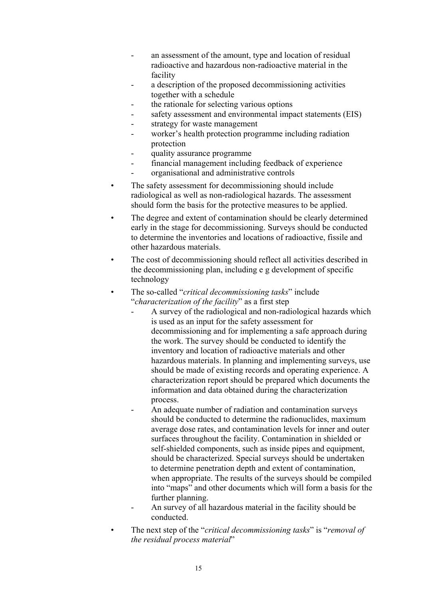- an assessment of the amount, type and location of residual radioactive and hazardous non-radioactive material in the facility
- a description of the proposed decommissioning activities together with a schedule
- the rationale for selecting various options
- safety assessment and environmental impact statements (EIS)
- strategy for waste management
- worker's health protection programme including radiation protection
- quality assurance programme
- financial management including feedback of experience
- organisational and administrative controls
- The safety assessment for decommissioning should include radiological as well as non-radiological hazards. The assessment should form the basis for the protective measures to be applied.
- The degree and extent of contamination should be clearly determined early in the stage for decommissioning. Surveys should be conducted to determine the inventories and locations of radioactive, fissile and other hazardous materials.
- The cost of decommissioning should reflect all activities described in the decommissioning plan, including e g development of specific technology
- The so-called "*critical decommissioning tasks*" include "*characterization of the facility*" as a first step
	- A survey of the radiological and non-radiological hazards which is used as an input for the safety assessment for decommissioning and for implementing a safe approach during the work. The survey should be conducted to identify the inventory and location of radioactive materials and other hazardous materials. In planning and implementing surveys, use should be made of existing records and operating experience. A characterization report should be prepared which documents the information and data obtained during the characterization process.
	- An adequate number of radiation and contamination surveys should be conducted to determine the radionuclides, maximum average dose rates, and contamination levels for inner and outer surfaces throughout the facility. Contamination in shielded or self-shielded components, such as inside pipes and equipment, should be characterized. Special surveys should be undertaken to determine penetration depth and extent of contamination, when appropriate. The results of the surveys should be compiled into "maps" and other documents which will form a basis for the further planning.
	- An survey of all hazardous material in the facility should be conducted.
- The next step of the "*critical decommissioning tasks*" is "*removal of the residual process material*"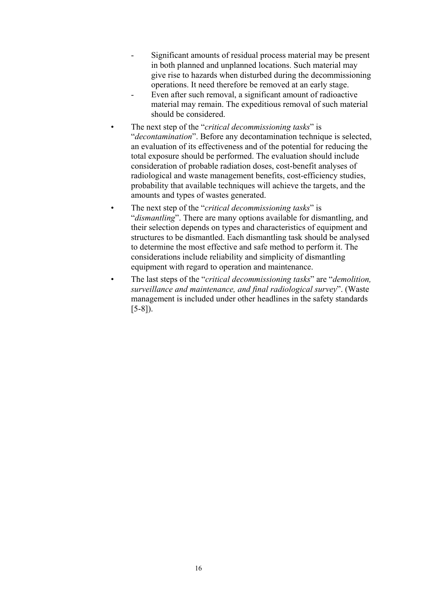- Significant amounts of residual process material may be present in both planned and unplanned locations. Such material may give rise to hazards when disturbed during the decommissioning operations. It need therefore be removed at an early stage.
- Even after such removal, a significant amount of radioactive material may remain. The expeditious removal of such material should be considered.
- The next step of the "*critical decommissioning tasks*" is "*decontamination*". Before any decontamination technique is selected, an evaluation of its effectiveness and of the potential for reducing the total exposure should be performed. The evaluation should include consideration of probable radiation doses, cost-benefit analyses of radiological and waste management benefits, cost-efficiency studies, probability that available techniques will achieve the targets, and the amounts and types of wastes generated.
- The next step of the "*critical decommissioning tasks*" is "*dismantling*". There are many options available for dismantling, and their selection depends on types and characteristics of equipment and structures to be dismantled. Each dismantling task should be analysed to determine the most effective and safe method to perform it. The considerations include reliability and simplicity of dismantling equipment with regard to operation and maintenance.
- The last steps of the "*critical decommissioning tasks*" are "*demolition, surveillance and maintenance, and final radiological survey*". (Waste management is included under other headlines in the safety standards [5-8]).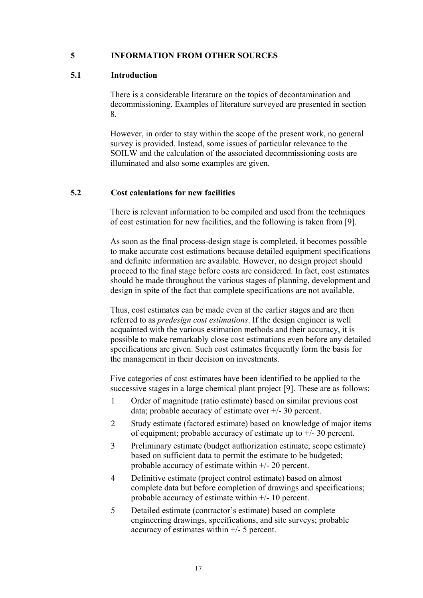#### **5 INFORMATION FROM OTHER SOURCES**

#### **5.1 Introduction**

There is a considerable literature on the topics of decontamination and decommissioning. Examples of literature surveyed are presented in section 8.

However, in order to stay within the scope of the present work, no general survey is provided. Instead, some issues of particular relevance to the SOILW and the calculation of the associated decommissioning costs are illuminated and also some examples are given.

#### **5.2 Cost calculations for new facilities**

There is relevant information to be compiled and used from the techniques of cost estimation for new facilities, and the following is taken from [9].

As soon as the final process-design stage is completed, it becomes possible to make accurate cost estimations because detailed equipment specifications and definite information are available. However, no design project should proceed to the final stage before costs are considered. In fact, cost estimates should be made throughout the various stages of planning, development and design in spite of the fact that complete specifications are not available.

Thus, cost estimates can be made even at the earlier stages and are then referred to as *predesign cost estimations*. If the design engineer is well acquainted with the various estimation methods and their accuracy, it is possible to make remarkably close cost estimations even before any detailed specifications are given. Such cost estimates frequently form the basis for the management in their decision on investments.

Five categories of cost estimates have been identified to be applied to the successive stages in a large chemical plant project [9]. These are as follows:

- 1 Order of magnitude (ratio estimate) based on similar previous cost data; probable accuracy of estimate over +/- 30 percent.
- 2 Study estimate (factored estimate) based on knowledge of major items of equipment; probable accuracy of estimate up to  $+/- 30$  percent.
- 3 Preliminary estimate (budget authorization estimate; scope estimate) based on sufficient data to permit the estimate to be budgeted; probable accuracy of estimate within +/- 20 percent.
- 4 Definitive estimate (project control estimate) based on almost complete data but before completion of drawings and specifications; probable accuracy of estimate within +/- 10 percent.
- 5 Detailed estimate (contractor's estimate) based on complete engineering drawings, specifications, and site surveys; probable accuracy of estimates within +/- 5 percent.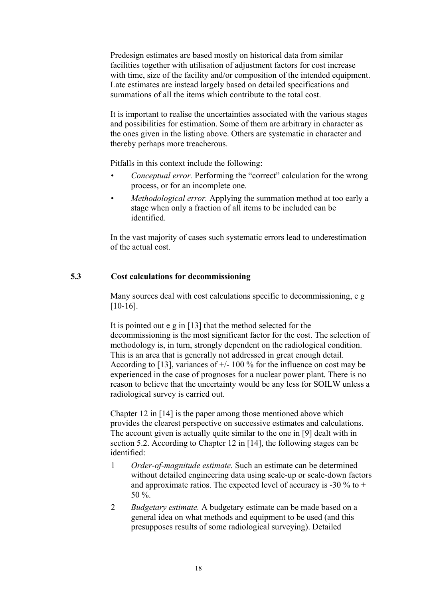Predesign estimates are based mostly on historical data from similar facilities together with utilisation of adjustment factors for cost increase with time, size of the facility and/or composition of the intended equipment. Late estimates are instead largely based on detailed specifications and summations of all the items which contribute to the total cost.

It is important to realise the uncertainties associated with the various stages and possibilities for estimation. Some of them are arbitrary in character as the ones given in the listing above. Others are systematic in character and thereby perhaps more treacherous.

Pitfalls in this context include the following:

- *Conceptual error.* Performing the "correct" calculation for the wrong process, or for an incomplete one.
- *Methodological error.* Applying the summation method at too early a stage when only a fraction of all items to be included can be identified.

In the vast majority of cases such systematic errors lead to underestimation of the actual cost.

#### **5.3 Cost calculations for decommissioning**

Many sources deal with cost calculations specific to decommissioning, e g [10-16].

It is pointed out e g in [13] that the method selected for the decommissioning is the most significant factor for the cost. The selection of methodology is, in turn, strongly dependent on the radiological condition. This is an area that is generally not addressed in great enough detail. According to [13], variances of  $+/- 100 \%$  for the influence on cost may be experienced in the case of prognoses for a nuclear power plant. There is no reason to believe that the uncertainty would be any less for SOILW unless a radiological survey is carried out.

Chapter 12 in [14] is the paper among those mentioned above which provides the clearest perspective on successive estimates and calculations. The account given is actually quite similar to the one in [9] dealt with in section 5.2. According to Chapter 12 in [14], the following stages can be identified:

- 1 *Order-of-magnitude estimate.* Such an estimate can be determined without detailed engineering data using scale-up or scale-down factors and approximate ratios. The expected level of accuracy is -30 % to + 50  $\%$
- 2 *Budgetary estimate.* A budgetary estimate can be made based on a general idea on what methods and equipment to be used (and this presupposes results of some radiological surveying). Detailed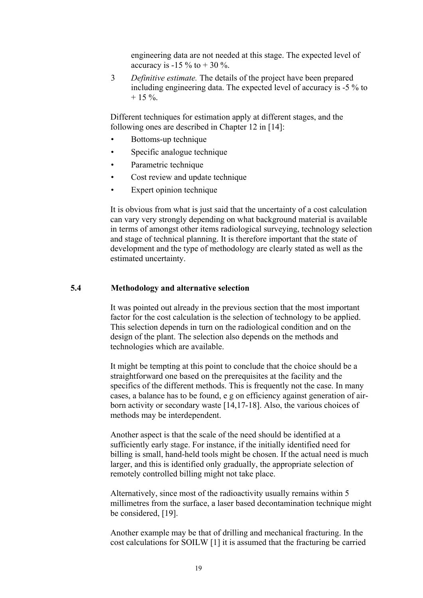engineering data are not needed at this stage. The expected level of accuracy is -15 % to  $+$  30 %.

3 *Definitive estimate.* The details of the project have been prepared including engineering data. The expected level of accuracy is -5 % to  $+ 15 \%$ .

Different techniques for estimation apply at different stages, and the following ones are described in Chapter 12 in [14]:

- Bottoms-up technique
- Specific analogue technique
- Parametric technique
- Cost review and update technique
- Expert opinion technique

It is obvious from what is just said that the uncertainty of a cost calculation can vary very strongly depending on what background material is available in terms of amongst other items radiological surveying, technology selection and stage of technical planning. It is therefore important that the state of development and the type of methodology are clearly stated as well as the estimated uncertainty.

#### **5.4 Methodology and alternative selection**

It was pointed out already in the previous section that the most important factor for the cost calculation is the selection of technology to be applied. This selection depends in turn on the radiological condition and on the design of the plant. The selection also depends on the methods and technologies which are available.

It might be tempting at this point to conclude that the choice should be a straightforward one based on the prerequisites at the facility and the specifics of the different methods. This is frequently not the case. In many cases, a balance has to be found, e g on efficiency against generation of airborn activity or secondary waste [14,17-18]. Also, the various choices of methods may be interdependent.

Another aspect is that the scale of the need should be identified at a sufficiently early stage. For instance, if the initially identified need for billing is small, hand-held tools might be chosen. If the actual need is much larger, and this is identified only gradually, the appropriate selection of remotely controlled billing might not take place.

Alternatively, since most of the radioactivity usually remains within 5 millimetres from the surface, a laser based decontamination technique might be considered, [19].

Another example may be that of drilling and mechanical fracturing. In the cost calculations for SOILW [1] it is assumed that the fracturing be carried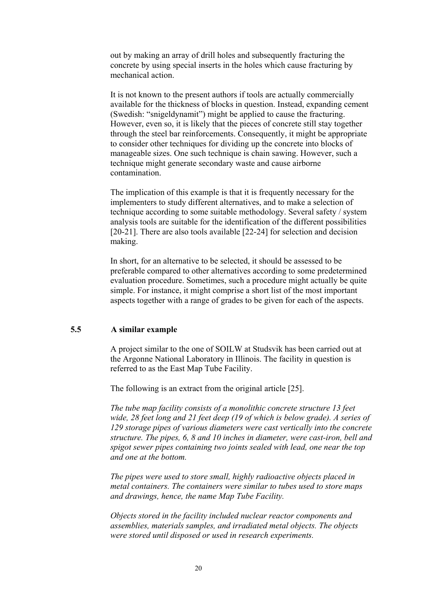out by making an array of drill holes and subsequently fracturing the concrete by using special inserts in the holes which cause fracturing by mechanical action.

It is not known to the present authors if tools are actually commercially available for the thickness of blocks in question. Instead, expanding cement (Swedish: "snigeldynamit") might be applied to cause the fracturing. However, even so, it is likely that the pieces of concrete still stay together through the steel bar reinforcements. Consequently, it might be appropriate to consider other techniques for dividing up the concrete into blocks of manageable sizes. One such technique is chain sawing. However, such a technique might generate secondary waste and cause airborne contamination.

The implication of this example is that it is frequently necessary for the implementers to study different alternatives, and to make a selection of technique according to some suitable methodology. Several safety / system analysis tools are suitable for the identification of the different possibilities [20-21]. There are also tools available [22-24] for selection and decision making.

In short, for an alternative to be selected, it should be assessed to be preferable compared to other alternatives according to some predetermined evaluation procedure. Sometimes, such a procedure might actually be quite simple. For instance, it might comprise a short list of the most important aspects together with a range of grades to be given for each of the aspects.

#### **5.5 A similar example**

A project similar to the one of SOILW at Studsvik has been carried out at the Argonne National Laboratory in Illinois. The facility in question is referred to as the East Map Tube Facility.

The following is an extract from the original article [25].

*The tube map facility consists of a monolithic concrete structure 13 feet wide, 28 feet long and 21 feet deep (19 of which is below grade). A series of 129 storage pipes of various diameters were cast vertically into the concrete structure. The pipes, 6, 8 and 10 inches in diameter, were cast-iron, bell and spigot sewer pipes containing two joints sealed with lead, one near the top and one at the bottom.*

*The pipes were used to store small, highly radioactive objects placed in metal containers. The containers were similar to tubes used to store maps and drawings, hence, the name Map Tube Facility.*

*Objects stored in the facility included nuclear reactor components and assemblies, materials samples, and irradiated metal objects. The objects were stored until disposed or used in research experiments.*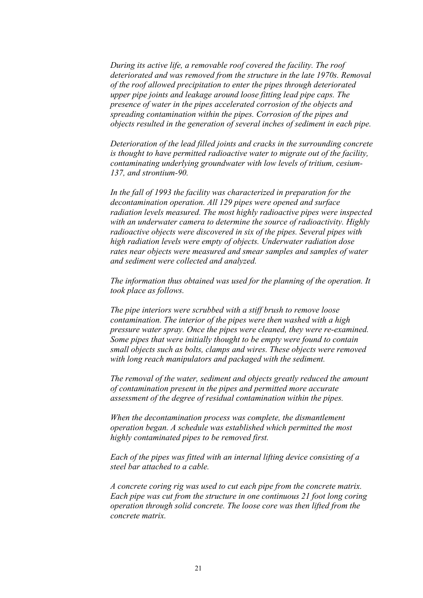*During its active life, a removable roof covered the facility. The roof deteriorated and was removed from the structure in the late 1970s. Removal of the roof allowed precipitation to enter the pipes through deteriorated upper pipe joints and leakage around loose fitting lead pipe caps. The presence of water in the pipes accelerated corrosion of the objects and spreading contamination within the pipes. Corrosion of the pipes and objects resulted in the generation of several inches of sediment in each pipe.*

*Deterioration of the lead filled joints and cracks in the surrounding concrete is thought to have permitted radioactive water to migrate out of the facility, contaminating underlying groundwater with low levels of tritium, cesium-137, and strontium-90.*

*In the fall of 1993 the facility was characterized in preparation for the decontamination operation. All 129 pipes were opened and surface radiation levels measured. The most highly radioactive pipes were inspected with an underwater camera to determine the source of radioactivity. Highly radioactive objects were discovered in six of the pipes. Several pipes with high radiation levels were empty of objects. Underwater radiation dose rates near objects were measured and smear samples and samples of water and sediment were collected and analyzed.*

*The information thus obtained was used for the planning of the operation. It took place as follows.*

*The pipe interiors were scrubbed with a stiff brush to remove loose contamination. The interior of the pipes were then washed with a high pressure water spray. Once the pipes were cleaned, they were re-examined. Some pipes that were initially thought to be empty were found to contain small objects such as bolts, clamps and wires. These objects were removed with long reach manipulators and packaged with the sediment.*

*The removal of the water, sediment and objects greatly reduced the amount of contamination present in the pipes and permitted more accurate assessment of the degree of residual contamination within the pipes.*

*When the decontamination process was complete, the dismantlement operation began. A schedule was established which permitted the most highly contaminated pipes to be removed first.*

*Each of the pipes was fitted with an internal lifting device consisting of a steel bar attached to a cable.*

*A concrete coring rig was used to cut each pipe from the concrete matrix. Each pipe was cut from the structure in one continuous 21 foot long coring operation through solid concrete. The loose core was then lifted from the concrete matrix.*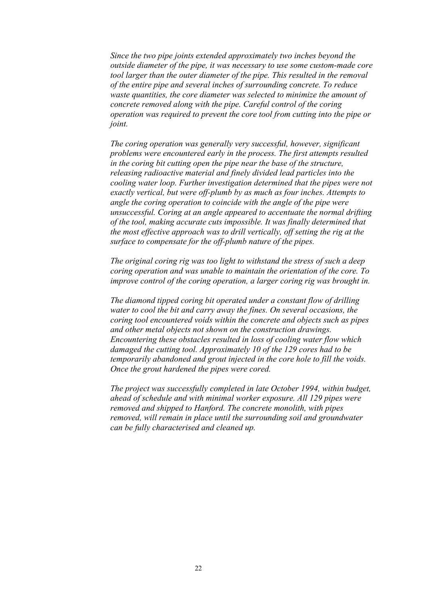*Since the two pipe joints extended approximately two inches beyond the outside diameter of the pipe, it was necessary to use some custom-made core tool larger than the outer diameter of the pipe. This resulted in the removal of the entire pipe and several inches of surrounding concrete. To reduce waste quantities, the core diameter was selected to minimize the amount of concrete removed along with the pipe. Careful control of the coring operation was required to prevent the core tool from cutting into the pipe or joint.*

*The coring operation was generally very successful, however, significant problems were encountered early in the process. The first attempts resulted in the coring bit cutting open the pipe near the base of the structure, releasing radioactive material and finely divided lead particles into the cooling water loop. Further investigation determined that the pipes were not exactly vertical, but were off-plumb by as much as four inches. Attempts to angle the coring operation to coincide with the angle of the pipe were unsuccessful. Coring at an angle appeared to accentuate the normal drifting of the tool, making accurate cuts impossible. It was finally determined that the most effective approach was to drill vertically, off setting the rig at the surface to compensate for the off-plumb nature of the pipes.*

*The original coring rig was too light to withstand the stress of such a deep coring operation and was unable to maintain the orientation of the core. To improve control of the coring operation, a larger coring rig was brought in.*

*The diamond tipped coring bit operated under a constant flow of drilling water to cool the bit and carry away the fines. On several occasions, the coring tool encountered voids within the concrete and objects such as pipes and other metal objects not shown on the construction drawings. Encountering these obstacles resulted in loss of cooling water flow which damaged the cutting tool. Approximately 10 of the 129 cores had to be temporarily abandoned and grout injected in the core hole to fill the voids. Once the grout hardened the pipes were cored.*

*The project was successfully completed in late October 1994, within budget, ahead of schedule and with minimal worker exposure. All 129 pipes were removed and shipped to Hanford. The concrete monolith, with pipes removed, will remain in place until the surrounding soil and groundwater can be fully characterised and cleaned up.*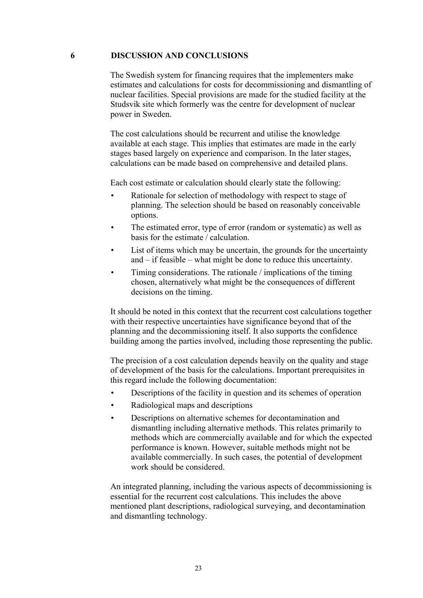#### **6 DISCUSSION AND CONCLUSIONS**

The Swedish system for financing requires that the implementers make estimates and calculations for costs for decommissioning and dismantling of nuclear facilities. Special provisions are made for the studied facility at the Studsvik site which formerly was the centre for development of nuclear power in Sweden.

The cost calculations should be recurrent and utilise the knowledge available at each stage. This implies that estimates are made in the early stages based largely on experience and comparison. In the later stages, calculations can be made based on comprehensive and detailed plans.

Each cost estimate or calculation should clearly state the following:

- Rationale for selection of methodology with respect to stage of planning. The selection should be based on reasonably conceivable options.
- The estimated error, type of error (random or systematic) as well as basis for the estimate / calculation.
- List of items which may be uncertain, the grounds for the uncertainty and – if feasible – what might be done to reduce this uncertainty.
- Timing considerations. The rationale / implications of the timing chosen, alternatively what might be the consequences of different decisions on the timing.

It should be noted in this context that the recurrent cost calculations together with their respective uncertainties have significance beyond that of the planning and the decommissioning itself. It also supports the confidence building among the parties involved, including those representing the public.

The precision of a cost calculation depends heavily on the quality and stage of development of the basis for the calculations. Important prerequisites in this regard include the following documentation:

- Descriptions of the facility in question and its schemes of operation
- Radiological maps and descriptions
- Descriptions on alternative schemes for decontamination and dismantling including alternative methods. This relates primarily to methods which are commercially available and for which the expected performance is known. However, suitable methods might not be available commercially. In such cases, the potential of development work should be considered.

An integrated planning, including the various aspects of decommissioning is essential for the recurrent cost calculations. This includes the above mentioned plant descriptions, radiological surveying, and decontamination and dismantling technology.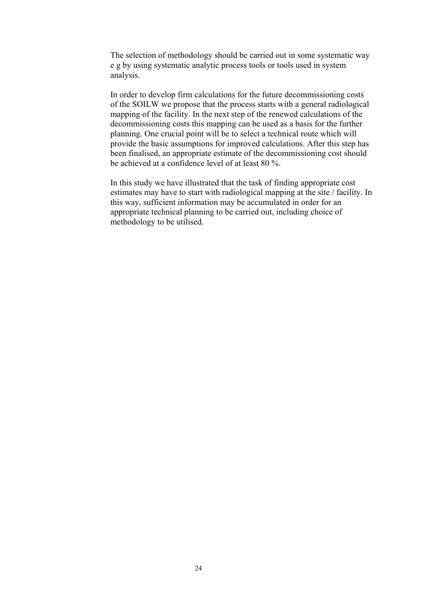The selection of methodology should be carried out in some systematic way e g by using systematic analytic process tools or tools used in system analysis.

In order to develop firm calculations for the future decommissioning costs of the SOILW we propose that the process starts with a general radiological mapping of the facility. In the next step of the renewed calculations of the decommissioning costs this mapping can be used as a basis for the further planning. One crucial point will be to select a technical route which will provide the basic assumptions for improved calculations. After this step has been finalised, an appropriate estimate of the decommissioning cost should be achieved at a confidence level of at least 80 %.

In this study we have illustrated that the task of finding appropriate cost estimates may have to start with radiological mapping at the site / facility. In this way, sufficient information may be accumulated in order for an appropriate technical planning to be carried out, including choice of methodology to be utilised.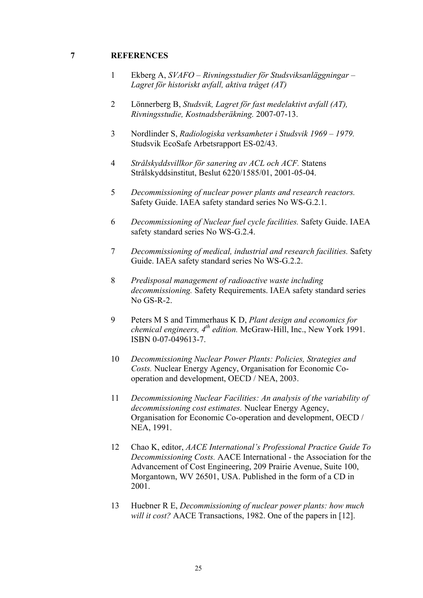#### **7 REFERENCES**

- 1 Ekberg A, *SVAFO Rivningsstudier för Studsviksanläggningar – Lagret för historiskt avfall, aktiva tråget (AT)*
- 2 Lönnerberg B, *Studsvik, Lagret för fast medelaktivt avfall (AT), Rivningsstudie, Kostnadsberäkning.* 2007-07-13.
- 3 Nordlinder S, *Radiologiska verksamheter i Studsvik 1969 1979.* Studsvik EcoSafe Arbetsrapport ES-02/43.
- 4 *Strålskyddsvillkor för sanering av ACL och ACF.* Statens Strålskyddsinstitut, Beslut 6220/1585/01, 2001-05-04.
- 5 *Decommissioning of nuclear power plants and research reactors.* Safety Guide. IAEA safety standard series No WS-G.2.1.
- 6 *Decommissioning of Nuclear fuel cycle facilities.* Safety Guide. IAEA safety standard series No WS-G.2.4.
- 7 *Decommissioning of medical, industrial and research facilities.* Safety Guide. IAEA safety standard series No WS-G.2.2.
- 8 *Predisposal management of radioactive waste including decommissioning.* Safety Requirements. IAEA safety standard series No GS-R-2.
- 9 Peters M S and Timmerhaus K D, *Plant design and economics for chemical engineers, 4th edition.* McGraw-Hill, Inc., New York 1991. ISBN 0-07-049613-7.
- 10 *Decommissioning Nuclear Power Plants: Policies, Strategies and Costs.* Nuclear Energy Agency, Organisation for Economic Cooperation and development, OECD / NEA, 2003.
- 11 *Decommissioning Nuclear Facilities: An analysis of the variability of decommissioning cost estimates.* Nuclear Energy Agency, Organisation for Economic Co-operation and development, OECD / NEA, 1991.
- 12 Chao K, editor, *AACE International's Professional Practice Guide To Decommissioning Costs.* AACE International - the Association for the Advancement of Cost Engineering, 209 Prairie Avenue, Suite 100, Morgantown, WV 26501, USA. Published in the form of a CD in 2001.
- 13 Huebner R E, *Decommissioning of nuclear power plants: how much will it cost?* AACE Transactions, 1982. One of the papers in [12].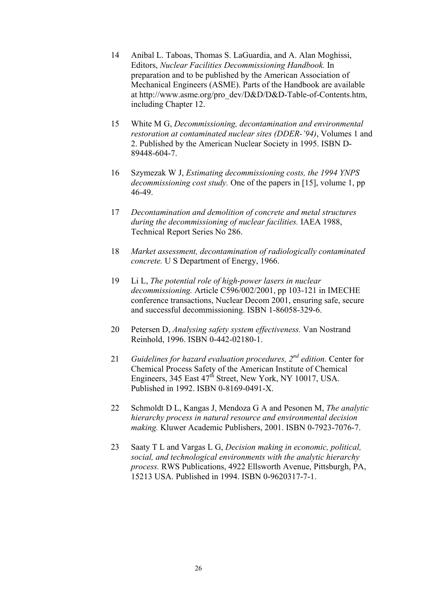- 14 Anibal L. Taboas, Thomas S. LaGuardia, and A. Alan Moghissi, Editors, *Nuclear Facilities Decommissioning Handbook.* In preparation and to be published by the American Association of Mechanical Engineers (ASME). Parts of the Handbook are available at http://www.asme.org/pro\_dev/D&D/D&D-Table-of-Contents.htm, including Chapter 12.
- 15 White M G, *Decommissioning, decontamination and environmental restoration at contaminated nuclear sites (DDER-'94)*, Volumes 1 and 2. Published by the American Nuclear Society in 1995. ISBN D-89448-604-7.
- 16 Szymezak W J, *Estimating decommissioning costs, the 1994 YNPS decommissioning cost study.* One of the papers in [15], volume 1, pp 46-49.
- 17 *Decontamination and demolition of concrete and metal structures during the decommissioning of nuclear facilities.* IAEA 1988, Technical Report Series No 286.
- 18 *Market assessment, decontamination of radiologically contaminated concrete.* U S Department of Energy, 1966.
- 19 Li L, *The potential role of high-power lasers in nuclear decommissioning.* Article C596/002/2001, pp 103-121 in IMECHE conference transactions, Nuclear Decom 2001, ensuring safe, secure and successful decommissioning. ISBN 1-86058-329-6.
- 20 Petersen D, *Analysing safety system effectiveness.* Van Nostrand Reinhold, 1996. ISBN 0-442-02180-1.
- 21 *Guidelines for hazard evaluation procedures, 2nd edition.* Center for Chemical Process Safety of the American Institute of Chemical Engineers, 345 East 47<sup>th</sup> Street, New York, NY 10017, USA. Published in 1992. ISBN 0-8169-0491-X.
- 22 Schmoldt D L, Kangas J, Mendoza G A and Pesonen M, *The analytic hierarchy process in natural resource and environmental decision making.* Kluwer Academic Publishers, 2001. ISBN 0-7923-7076-7.
- 23 Saaty T L and Vargas L G, *Decision making in economic, political, social, and technological environments with the analytic hierarchy process.* RWS Publications, 4922 Ellsworth Avenue, Pittsburgh, PA, 15213 USA. Published in 1994. ISBN 0-9620317-7-1.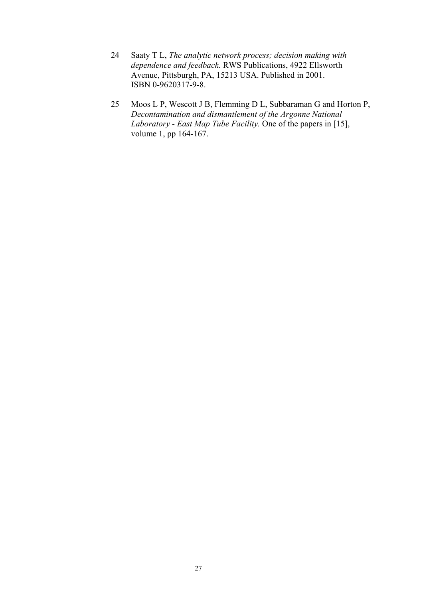- 24 Saaty T L, *The analytic network process; decision making with dependence and feedback.* RWS Publications, 4922 Ellsworth Avenue, Pittsburgh, PA, 15213 USA. Published in 2001. ISBN 0-9620317-9-8.
- 25 Moos L P, Wescott J B, Flemming D L, Subbaraman G and Horton P, *Decontamination and dismantlement of the Argonne National Laboratory - East Map Tube Facility.* One of the papers in [15], volume 1, pp 164-167.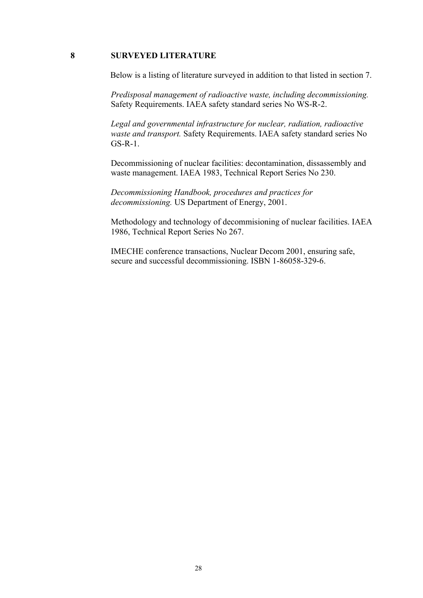#### **8 SURVEYED LITERATURE**

Below is a listing of literature surveyed in addition to that listed in section 7.

*Predisposal management of radioactive waste, including decommissioning.* Safety Requirements. IAEA safety standard series No WS-R-2.

*Legal and governmental infrastructure for nuclear, radiation, radioactive waste and transport.* Safety Requirements. IAEA safety standard series No GS-R-1.

Decommissioning of nuclear facilities: decontamination, dissassembly and waste management. IAEA 1983, Technical Report Series No 230.

*Decommissioning Handbook, procedures and practices for decommissioning.* US Department of Energy, 2001.

Methodology and technology of decommisioning of nuclear facilities. IAEA 1986, Technical Report Series No 267.

IMECHE conference transactions, Nuclear Decom 2001, ensuring safe, secure and successful decommissioning. ISBN 1-86058-329-6.